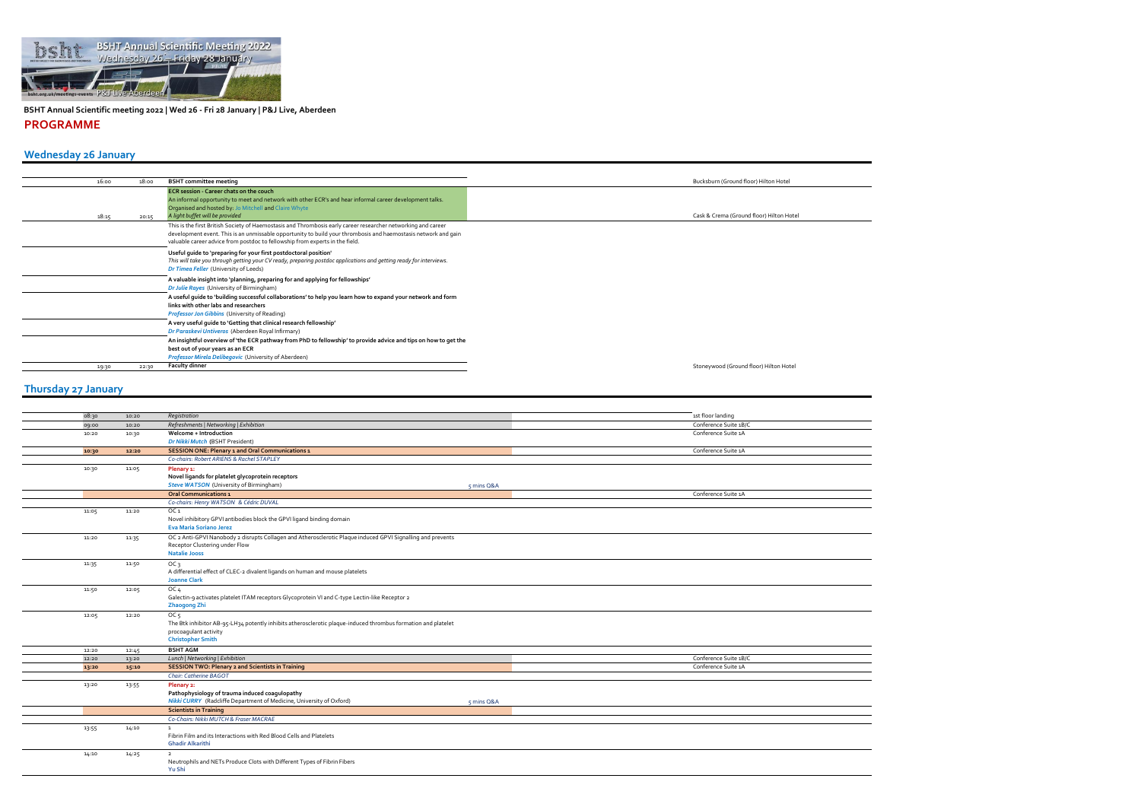

**BSHT Annual Scientific meeting 2022 | Wed 26 - Fri 28 January | P&J Live, Aberdeen PROGRAMME**

| 16:00 | 18:00 | <b>BSHT</b> committee meeting                                                                                                                                                                                                                                                                                   | Bucksburn (Ground floor) Hilton Hotel    |
|-------|-------|-----------------------------------------------------------------------------------------------------------------------------------------------------------------------------------------------------------------------------------------------------------------------------------------------------------------|------------------------------------------|
| 18:15 | 20:15 | <b>ECR</b> session - Career chats on the couch<br>An informal opportunity to meet and network with other ECR's and hear informal career development talks.<br>Organised and hosted by: Jo Mitchell and Claire Whyte<br>A light buffet will be provided                                                          | Cask & Crema (Ground floor) Hilton Hotel |
|       |       | This is the first British Society of Haemostasis and Thrombosis early career researcher networking and career<br>development event. This is an unmissable opportunity to build your thrombosis and haemostasis network and gain<br>valuable career advice from postdoc to fellowship from experts in the field. |                                          |
|       |       | Useful quide to 'preparing for your first postdoctoral position'<br>This will take you through getting your CV ready, preparing postdoc applications and getting ready for interviews.<br>Dr Timea Feller (University of Leeds)                                                                                 |                                          |
|       |       | A valuable insight into 'planning, preparing for and applying for fellowships'<br>Dr Julie Rayes (University of Birmingham)                                                                                                                                                                                     |                                          |
|       |       | A useful quide to 'building successful collaborations' to help you learn how to expand your network and form<br>links with other labs and researchers<br>Professor Jon Gibbins (University of Reading)                                                                                                          |                                          |
|       |       | A very useful guide to 'Getting that clinical research fellowship'<br>Dr Paraskevi Untiveros (Aberdeen Royal Infirmary)                                                                                                                                                                                         |                                          |
|       |       | An insightful overview of 'the ECR pathway from PhD to fellowship' to provide advice and tips on how to get the<br>best out of your years as an ECR<br>Professor Mirela Delibegovic (University of Aberdeen)                                                                                                    |                                          |
| 19:30 | 22:30 | <b>Faculty dinner</b>                                                                                                                                                                                                                                                                                           | Stoneywood (Ground floor) Hilton Hotel   |

| 08:30 | 10:20 | Registration                                                                                                  |              | 1st floor landing     |
|-------|-------|---------------------------------------------------------------------------------------------------------------|--------------|-----------------------|
| 09:00 | 10:20 | Refreshments   Networking   Exhibition                                                                        |              | Conference Suite 1B/C |
| 10:20 | 10:30 | Welcome + Introduction                                                                                        |              | Conference Suite 1A   |
|       |       | Dr Nikki Mutch (BSHT President)                                                                               |              |                       |
| 10:30 | 12:20 | <b>SESSION ONE: Plenary 1 and Oral Communications 1</b>                                                       |              | Conference Suite 1A   |
|       |       | Co-chairs: Robert ARIENS & Rachel STAPLEY                                                                     |              |                       |
| 10:30 | 11:05 | Plenary 1:                                                                                                    |              |                       |
|       |       | Novel ligands for platelet glycoprotein receptors                                                             |              |                       |
|       |       | <b>Steve WATSON</b> (University of Birmingham)                                                                | $5$ mins Q&A |                       |
|       |       | <b>Oral Communications 1</b>                                                                                  |              | Conference Suite 1A   |
|       |       | Co-chairs: Henry WATSON & Cédric DUVAL                                                                        |              |                       |
| 11:05 | 11:20 | OC <sub>1</sub>                                                                                               |              |                       |
|       |       | Novel inhibitory GPVI antibodies block the GPVI ligand binding domain                                         |              |                       |
|       |       | <b>Eva Maria Soriano Jerez</b>                                                                                |              |                       |
| 11:20 | 11:35 | OC 2 Anti-GPVI Nanobody 2 disrupts Collagen and Atherosclerotic Plaque induced GPVI Signalling and prevents   |              |                       |
|       |       | Receptor Clustering under Flow                                                                                |              |                       |
|       |       | <b>Natalie Jooss</b>                                                                                          |              |                       |
| 11:35 | 11:50 | OC <sub>3</sub>                                                                                               |              |                       |
|       |       | A differential effect of CLEC-2 divalent ligands on human and mouse platelets                                 |              |                       |
|       |       | <b>Joanne Clark</b>                                                                                           |              |                       |
| 11:50 | 12:05 | OC <sub>4</sub>                                                                                               |              |                       |
|       |       | Galectin-9 activates platelet ITAM receptors Glycoprotein VI and C-type Lectin-like Receptor 2                |              |                       |
|       |       | <b>Zhaogong Zhi</b>                                                                                           |              |                       |
| 12:05 | 12:20 | OC <sub>5</sub>                                                                                               |              |                       |
|       |       | The Btk inhibitor AB-95-LH34 potently inhibits atherosclerotic plaque-induced thrombus formation and platelet |              |                       |
|       |       | procoagulant activity                                                                                         |              |                       |
|       |       | <b>Christopher Smith</b>                                                                                      |              |                       |
| 12:20 | 12:45 | <b>BSHT AGM</b>                                                                                               |              |                       |
| 12:20 | 13:20 | Lunch   Networking   Exhibition                                                                               |              | Conference Suite 1B/C |
| 13:20 | 15:10 | <b>SESSION TWO: Plenary 2 and Scientists in Training</b>                                                      |              | Conference Suite 1A   |
|       |       | Chair: Catherine BAGOT                                                                                        |              |                       |
| 13:20 | 13:55 | Plenary 2:                                                                                                    |              |                       |
|       |       | Pathophysiology of trauma induced coagulopathy                                                                |              |                       |
|       |       | <b>Nikki CURRY</b> (Radcliffe Department of Medicine, University of Oxford)                                   | 5 mins Q&A   |                       |
|       |       | <b>Scientists in Training</b>                                                                                 |              |                       |
|       |       | Co-Chairs: Nikki MUTCH & Fraser MACRAE                                                                        |              |                       |
| 13:55 | 14:10 | $\mathbf{1}$                                                                                                  |              |                       |
|       |       | Fibrin Film and its Interactions with Red Blood Cells and Platelets                                           |              |                       |
|       |       | <b>Ghadir Alkarithi</b>                                                                                       |              |                       |
| 14:10 | 14:25 | $\overline{2}$                                                                                                |              |                       |
|       |       | Neutrophils and NETs Produce Clots with Different Types of Fibrin Fibers                                      |              |                       |
|       |       | Yu Shi                                                                                                        |              |                       |
|       |       |                                                                                                               |              |                       |

 $\frac{1}{\sqrt{1-\frac{1}{2}}}$  $\equiv$  $\frac{1}{\frac{1}{1-\frac{1}{1-\frac{1}{1-\frac{1}{1-\frac{1}{1-\frac{1}{1-\frac{1}{1-\frac{1}{1-\frac{1}{1-\frac{1}{1-\frac{1}{1-\frac{1}{1-\frac{1}{1-\frac{1}{1-\frac{1}{1-\frac{1}{1-\frac{1}{1-\frac{1}{1-\frac{1}{1-\frac{1}{1-\frac{1}{1-\frac{1}{1-\frac{1}{1-\frac{1}{1-\frac{1}{1-\frac{1}{1-\frac{1}{1-\frac{1}{1-\frac{1}{1-\frac{1}{1-\frac{1}{1-\frac{1}{1-\frac{1}{1-\frac{1}{1-\frac{1}{1-\frac{1}{$  $\overline{\phantom{0}}$  $\overline{\phantom{0}}$  $\overline{\phantom{0}}$  $\overline{\phantom{0}}$  $\frac{1}{1}$  $\equiv$  $\overline{\phantom{a}}$ 

## **Thursday 27 January**

## **Wednesday 26 January**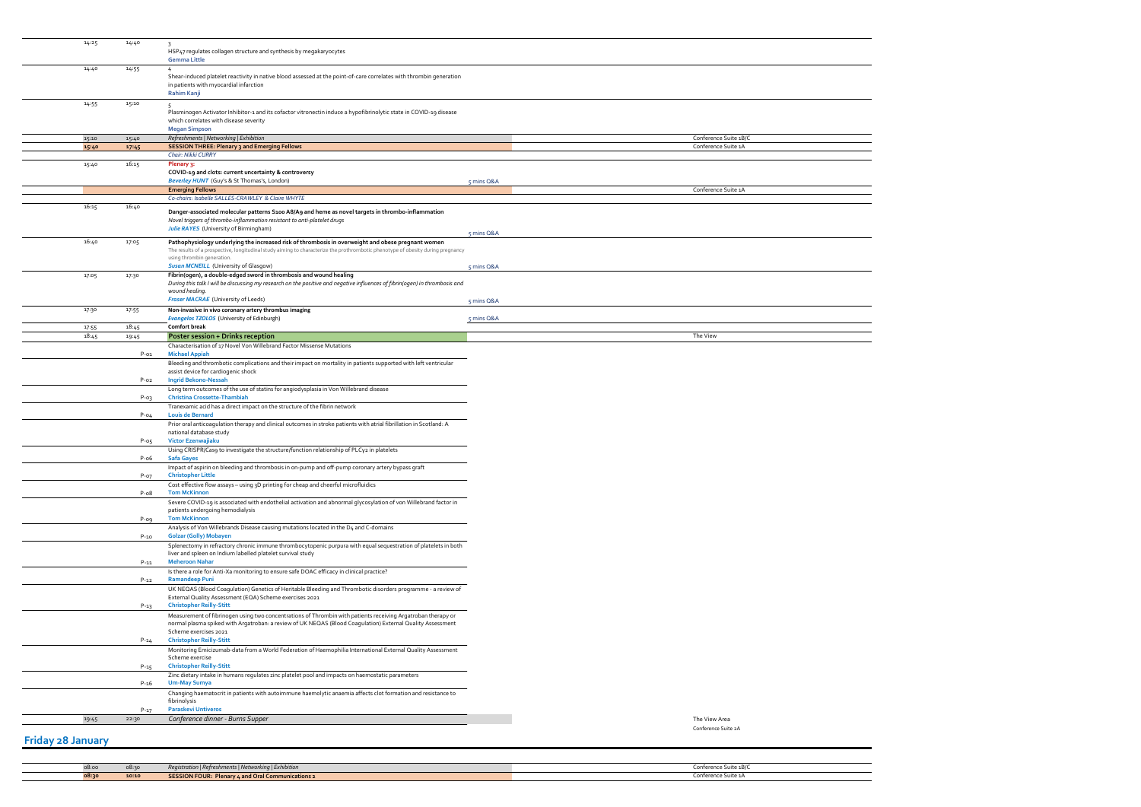| 14:25 | 14:40    | $\overline{\mathbf{3}}$                                                                                                                                                                                                    |            |                       |
|-------|----------|----------------------------------------------------------------------------------------------------------------------------------------------------------------------------------------------------------------------------|------------|-----------------------|
|       |          | HSP47 regulates collagen structure and synthesis by megakaryocytes                                                                                                                                                         |            |                       |
|       |          | <b>Gemma Little</b>                                                                                                                                                                                                        |            |                       |
| 14:40 | 14:55    | Shear-induced platelet reactivity in native blood assessed at the point-of-care correlates with thrombin generation                                                                                                        |            |                       |
|       |          | in patients with myocardial infarction                                                                                                                                                                                     |            |                       |
|       |          | Rahim Kanji                                                                                                                                                                                                                |            |                       |
| 14:55 | 15:10    | 5                                                                                                                                                                                                                          |            |                       |
|       |          | Plasminogen Activator Inhibitor-1 and its cofactor vitronectin induce a hypofibrinolytic state in COVID-19 disease<br>which correlates with disease severity                                                               |            |                       |
|       |          | <b>Megan Simpson</b>                                                                                                                                                                                                       |            |                       |
| 15:10 | 15:40    | Refreshments   Networking   Exhibition                                                                                                                                                                                     |            | Conference Suite 1B/C |
| 15:40 | 17:45    | <b>SESSION THREE: Plenary 3 and Emerging Fellows</b>                                                                                                                                                                       |            | Conference Suite 1A   |
| 15:40 | 16:15    | Chair: Nikki CURRY                                                                                                                                                                                                         |            |                       |
|       |          | Plenary 3:<br>COVID-19 and clots: current uncertainty & controversy                                                                                                                                                        |            |                       |
|       |          | Beverley HUNT (Guy's & St Thomas's, London)                                                                                                                                                                                | 5 mins Q&A |                       |
|       |          | <b>Emerging Fellows</b>                                                                                                                                                                                                    |            | Conference Suite 1A   |
| 16:15 | 16:40    | Co-chairs: Isabelle SALLES-CRAWLEY & Claire WHYTE                                                                                                                                                                          |            |                       |
|       |          | Danger-associated molecular patterns S100 A8/A9 and heme as novel targets in thrombo-inflammation                                                                                                                          |            |                       |
|       |          | Novel triggers of thrombo-inflammation resistant to anti-platelet drugs                                                                                                                                                    |            |                       |
|       |          | <b>Julie RAYES</b> (University of Birmingham)                                                                                                                                                                              | 5 mins Q&A |                       |
| 16:40 | 17:05    | Pathophysiology underlying the increased risk of thrombosis in overweight and obese pregnant women                                                                                                                         |            |                       |
|       |          | The results of a prospective, longitudinal study aiming to characterize the prothrombotic phenotype of obesity during pregnancy<br>using thrombin generation.                                                              |            |                       |
|       |          | <b>Susan MCNEILL</b> (University of Glasgow)                                                                                                                                                                               | 5 mins Q&A |                       |
| 17:05 | 17:30    | Fibrin(ogen), a double-edged sword in thrombosis and wound healing                                                                                                                                                         |            |                       |
|       |          | During this talk I will be discussing my research on the positive and negative influences of fibrin(ogen) in thrombosis and<br>wound healing.                                                                              |            |                       |
|       |          | <b>Fraser MACRAE</b> (University of Leeds)                                                                                                                                                                                 | 5 mins Q&A |                       |
| 17:30 | 17:55    | Non-invasive in vivo coronary artery thrombus imaging                                                                                                                                                                      |            |                       |
|       |          | <b>Evangelos TZOLOS</b> (University of Edinburgh)                                                                                                                                                                          | 5 mins Q&A |                       |
| 17:55 | 18:45    | <b>Comfort break</b>                                                                                                                                                                                                       |            |                       |
| 18:45 | 19:45    | Poster session + Drinks reception                                                                                                                                                                                          |            | The View              |
|       | $P-01$   | Characterisation of 17 Novel Von Willebrand Factor Missense Mutations<br><b>Michael Appiah</b>                                                                                                                             |            |                       |
|       |          | Bleeding and thrombotic complications and their impact on mortality in patients supported with left ventricular                                                                                                            |            |                       |
|       |          | assist device for cardiogenic shock                                                                                                                                                                                        |            |                       |
|       | $P-02$   | <b>Ingrid Bekono-Nessah</b>                                                                                                                                                                                                |            |                       |
|       | $P-03$   | Long term outcomes of the use of statins for angiodysplasia in Von Willebrand disease<br><b>Christina Crossette-Thambiah</b>                                                                                               |            |                       |
|       |          | Tranexamic acid has a direct impact on the structure of the fibrin network                                                                                                                                                 |            |                       |
|       | $P-04$   | <b>Louis de Bernard</b>                                                                                                                                                                                                    |            |                       |
|       |          | Prior oral anticoagulation therapy and clinical outcomes in stroke patients with atrial fibrillation in Scotland: A                                                                                                        |            |                       |
|       | $P-05$   | national database study<br>Victor Ezenwajiaku                                                                                                                                                                              |            |                       |
|       |          | Using CRISPR/Casg to investigate the structure/function relationship of PLCy2 in platelets                                                                                                                                 |            |                       |
|       | P-06     | <b>Safa Gayes</b>                                                                                                                                                                                                          |            |                       |
|       |          | Impact of aspirin on bleeding and thrombosis in on-pump and off-pump coronary artery bypass graft                                                                                                                          |            |                       |
|       | $P-07$   | <b>Christopher Little</b><br>Cost effective flow assays - using 3D printing for cheap and cheerful microfluidics                                                                                                           |            |                       |
|       | $P-08$   | <b>Tom McKinnon</b>                                                                                                                                                                                                        |            |                       |
|       |          | Severe COVID-19 is associated with endothelial activation and abnormal glycosylation of von Willebrand factor in                                                                                                           |            |                       |
|       |          | patients undergoing hemodialysis                                                                                                                                                                                           |            |                       |
|       | $P-09$   | <b>Tom McKinnon</b><br>Analysis of Von Willebrands Disease causing mutations located in the D4 and C-domains                                                                                                               |            |                       |
|       | $P - 10$ | <b>Golzar (Golly) Mobayen</b>                                                                                                                                                                                              |            |                       |
|       |          | Splenectomy in refractory chronic immune thrombocytopenic purpura with equal sequestration of platelets in both                                                                                                            |            |                       |
|       |          | liver and spleen on Indium labelled platelet survival study                                                                                                                                                                |            |                       |
|       | $P - 11$ | <b>Meheroon Nahar</b><br>Is there a role for Anti-Xa monitoring to ensure safe DOAC efficacy in clinical practice?                                                                                                         |            |                       |
|       | $P - 12$ | <b>Ramandeep Puni</b>                                                                                                                                                                                                      |            |                       |
|       |          | UK NEQAS (Blood Coagulation) Genetics of Heritable Bleeding and Thrombotic disorders programme - a review of                                                                                                               |            |                       |
|       |          | External Quality Assessment (EQA) Scheme exercises 2021                                                                                                                                                                    |            |                       |
|       | $P-13$   | <b>Christopher Reilly-Stitt</b>                                                                                                                                                                                            |            |                       |
|       |          | Measurement of fibrinogen using two concentrations of Thrombin with patients receiving Argatroban therapy or<br>normal plasma spiked with Argatroban: a review of UK NEQAS (Blood Coagulation) External Quality Assessment |            |                       |
|       |          | Scheme exercises 2021                                                                                                                                                                                                      |            |                       |
|       | $P - 14$ | <b>Christopher Reilly-Stitt</b>                                                                                                                                                                                            |            |                       |
|       |          | Monitoring Emicizumab-data from a World Federation of Haemophilia International External Quality Assessment                                                                                                                |            |                       |
|       | P-15     | Scheme exercise<br><b>Christopher Reilly-Stitt</b>                                                                                                                                                                         |            |                       |
|       |          | Zinc dietary intake in humans regulates zinc platelet pool and impacts on haemostatic parameters                                                                                                                           |            |                       |
|       | P-16     | <b>Um-May Sumya</b>                                                                                                                                                                                                        |            |                       |
|       |          | Changing haematocrit in patients with autoimmune haemolytic anaemia affects clot formation and resistance to                                                                                                               |            |                       |
|       | P-17     | fibrinolysis<br><b>Paraskevi Untiveros</b>                                                                                                                                                                                 |            |                       |
| 19:45 | 22:30    | Conference dinner - Burns Supper                                                                                                                                                                                           |            | The View Area         |
|       |          |                                                                                                                                                                                                                            |            | Conference Suite 2A   |

| 08:00 | 08:30 | Registration   Refreshments   Networking   Exhibition    | Conference Suite 1B/C |
|-------|-------|----------------------------------------------------------|-----------------------|
|       | 10:10 | <b>SESSION FOUR: Plenary 4 and Oral Communications 2</b> | Conference Suite 1A   |
|       |       |                                                          |                       |

 $\overline{\phantom{0}}$  $\overline{\phantom{a}}$  $\sim$  $\equiv$  $\overline{\phantom{0}}$  $\overline{\phantom{0}}$  $\overline{\phantom{0}}$  $\equiv$ 

## **Friday 28 January**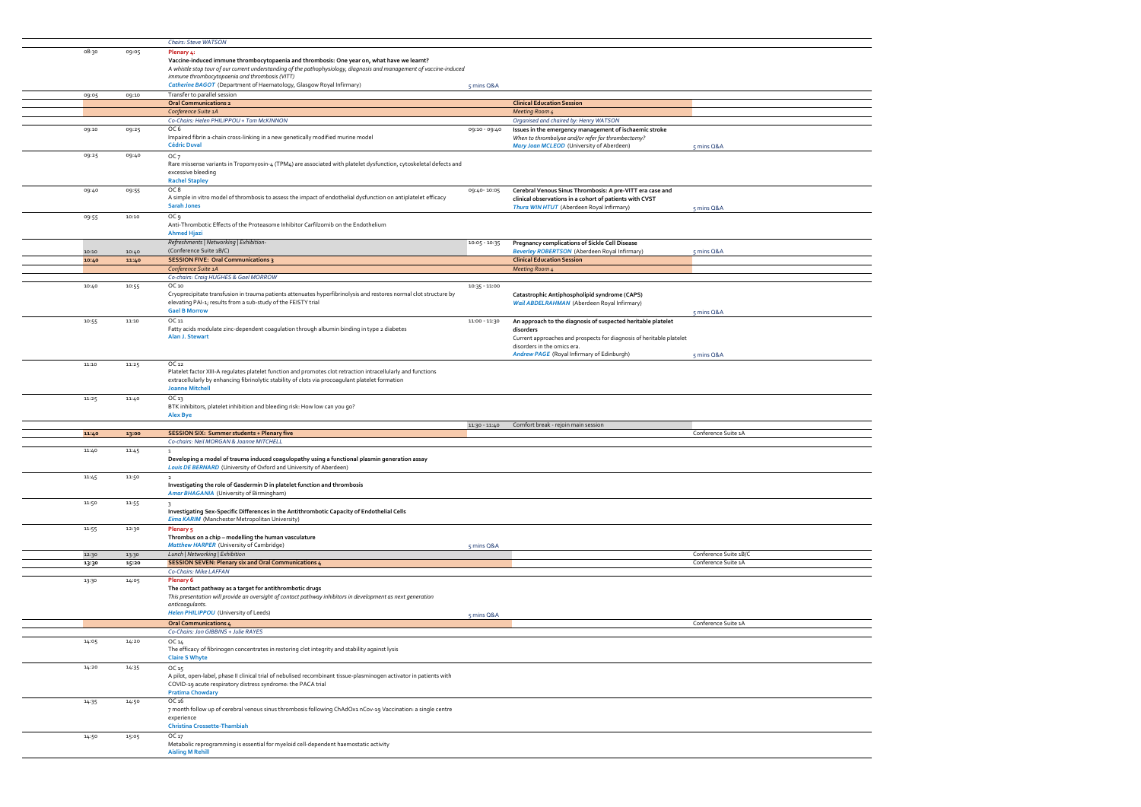|                |                | <b>Chairs: Steve WATSON</b>                                                                                                          |                 |                                                                                                              |                                              |
|----------------|----------------|--------------------------------------------------------------------------------------------------------------------------------------|-----------------|--------------------------------------------------------------------------------------------------------------|----------------------------------------------|
| 08:30          | 09:05          | Plenary 4:                                                                                                                           |                 |                                                                                                              |                                              |
|                |                | Vaccine-induced immune thrombocytopaenia and thrombosis: One year on, what have we learnt?                                           |                 |                                                                                                              |                                              |
|                |                | A whistle stop tour of our current understanding of the pathophysiology, diagnosis and management of vaccine-induced                 |                 |                                                                                                              |                                              |
|                |                | immune thrombocytopaenia and thrombosis (VITT)                                                                                       |                 |                                                                                                              |                                              |
|                |                | Catherine BAGOT (Department of Haematology, Glasgow Royal Infirmary)                                                                 | 5 mins Q&A      |                                                                                                              |                                              |
| 09:05          | 09:10          | Transfer to parallel session                                                                                                         |                 |                                                                                                              |                                              |
|                |                | <b>Oral Communications 2</b>                                                                                                         |                 | <b>Clinical Education Session</b>                                                                            |                                              |
|                |                | Conference Suite 1A<br>Co-Chairs: Helen PHILIPPOU + Tom McKINNON                                                                     |                 | <b>Meeting Room 4</b><br>Organised and chaired by: Henry WATSON                                              |                                              |
| 09:10          | 09:25          | OC 6                                                                                                                                 | 09:10 - 09:40   |                                                                                                              |                                              |
|                |                | Impaired fibrin a-chain cross-linking in a new genetically modified murine model                                                     |                 | Issues in the emergency management of ischaemic stroke<br>When to thrombolyse and/or refer for thrombectomy? |                                              |
|                |                | <b>Cédric Duval</b>                                                                                                                  |                 | Mary Joan MCLEOD (University of Aberdeen)                                                                    | 5 mins Q&A                                   |
| 09:25          | 09:40          | OC <sub>7</sub>                                                                                                                      |                 |                                                                                                              |                                              |
|                |                | Rare missense variants in Tropomyosin-4 (TPM4) are associated with platelet dysfunction, cytoskeletal defects and                    |                 |                                                                                                              |                                              |
|                |                | excessive bleeding                                                                                                                   |                 |                                                                                                              |                                              |
|                |                | <b>Rachel Stapley</b>                                                                                                                |                 |                                                                                                              |                                              |
| 09:40          | 09:55          | OC8                                                                                                                                  | 09:40-10:05     | Cerebral Venous Sinus Thrombosis: A pre-VITT era case and                                                    |                                              |
|                |                | A simple in vitro model of thrombosis to assess the impact of endothelial dysfunction on antiplatelet efficacy<br><b>Sarah Jones</b> |                 | clinical observations in a cohort of patients with CVST                                                      |                                              |
|                |                |                                                                                                                                      |                 | Thura WIN HTUT (Aberdeen Royal Infirmary)                                                                    | 5 mins Q&A                                   |
| 09:55          | 10:10          | OC 9<br>Anti-Thrombotic Effects of the Proteasome Inhibitor Carfilzomib on the Endothelium                                           |                 |                                                                                                              |                                              |
|                |                | <b>Ahmed Hjazi</b>                                                                                                                   |                 |                                                                                                              |                                              |
|                |                | Refreshments   Networking   Exhibition-                                                                                              | $10:05 - 10:35$ | Pregnancy complications of Sickle Cell Disease                                                               |                                              |
| 10:10          | 10:40          | (Conference Suite 1B/C)                                                                                                              |                 | <b>Beverley ROBERTSON</b> (Aberdeen Royal Infirmary)                                                         | 5 mins Q&A                                   |
| 10:40          | 11:40          | <b>SESSION FIVE: Oral Communications 3</b>                                                                                           |                 | <b>Clinical Education Session</b>                                                                            |                                              |
|                |                | Conference Suite 1A                                                                                                                  |                 | Meeting Room 4                                                                                               |                                              |
|                |                | Co-chairs: Craig HUGHES & Gael MORROW                                                                                                |                 |                                                                                                              |                                              |
| 10:40          | 10:55          | OC 10                                                                                                                                | $10:35 - 11:00$ |                                                                                                              |                                              |
|                |                | Cryoprecipitate transfusion in trauma patients attenuates hyperfibrinolysis and restores normal clot structure by                    |                 | Catastrophic Antiphospholipid syndrome (CAPS)                                                                |                                              |
|                |                | elevating PAI-1; results from a sub-study of the FEISTY trial<br><b>Gael B Morrow</b>                                                |                 | Wail ABDELRAHMAN (Aberdeen Royal Infirmary)                                                                  |                                              |
| 10:55          | 11:10          | OC 11                                                                                                                                | 11:00 - 11:30   |                                                                                                              | 5 mins Q&A                                   |
|                |                | Fatty acids modulate zinc-dependent coagulation through albumin binding in type 2 diabetes                                           |                 | An approach to the diagnosis of suspected heritable platelet<br>disorders                                    |                                              |
|                |                | Alan J. Stewart                                                                                                                      |                 | Current approaches and prospects for diagnosis of heritable platelet                                         |                                              |
|                |                |                                                                                                                                      |                 | disorders in the omics era.                                                                                  |                                              |
|                |                |                                                                                                                                      |                 | Andrew PAGE (Royal Infirmary of Edinburgh)                                                                   | 5 mins Q&A                                   |
| 11:10          | 11:25          | OC 12                                                                                                                                |                 |                                                                                                              |                                              |
|                |                | Platelet factor XIII-A regulates platelet function and promotes clot retraction intracellularly and functions                        |                 |                                                                                                              |                                              |
|                |                | extracellularly by enhancing fibrinolytic stability of clots via procoagulant platelet formation<br><b>Joanne Mitchell</b>           |                 |                                                                                                              |                                              |
|                |                |                                                                                                                                      |                 |                                                                                                              |                                              |
|                |                |                                                                                                                                      |                 |                                                                                                              |                                              |
| 11:25          | 11:40          | OC <sub>13</sub>                                                                                                                     |                 |                                                                                                              |                                              |
|                |                | BTK inhibitors, platelet inhibition and bleeding risk: How low can you go?<br><b>Alex Bye</b>                                        |                 |                                                                                                              |                                              |
|                |                |                                                                                                                                      | 11:30 - 11:40   | Comfort break - rejoin main session                                                                          |                                              |
| 11:40          | 13:00          | <b>SESSION SIX: Summer students + Plenary five</b>                                                                                   |                 |                                                                                                              | Conference Suite 1A                          |
|                |                | Co-chairs: Neil MORGAN & Joanne MITCHELL                                                                                             |                 |                                                                                                              |                                              |
| 11:40          | 11:45          | $\mathbf{1}$                                                                                                                         |                 |                                                                                                              |                                              |
|                |                | Developing a model of trauma induced coagulopathy using a functional plasmin generation assay                                        |                 |                                                                                                              |                                              |
|                |                | Louis DE BERNARD (University of Oxford and University of Aberdeen)                                                                   |                 |                                                                                                              |                                              |
| 11:45          | 11:50          | $\overline{2}$<br>Investigating the role of Gasdermin D in platelet function and thrombosis                                          |                 |                                                                                                              |                                              |
|                |                | Amar BHAGANIA (University of Birmingham)                                                                                             |                 |                                                                                                              |                                              |
| 11:50          | 11:55          | $\overline{\mathbf{3}}$                                                                                                              |                 |                                                                                                              |                                              |
|                |                | Investigating Sex-Specific Differences in the Antithrombotic Capacity of Endothelial Cells                                           |                 |                                                                                                              |                                              |
|                |                | Eima KARIM (Manchester Metropolitan University)                                                                                      |                 |                                                                                                              |                                              |
| 11:55          | 12:30          | Plenary 5                                                                                                                            |                 |                                                                                                              |                                              |
|                |                | Thrombus on a chip - modelling the human vasculature                                                                                 |                 |                                                                                                              |                                              |
|                |                | <b>Matthew HARPER (University of Cambridge)</b>                                                                                      | 5 mins Q&A      |                                                                                                              |                                              |
| 12:30<br>13:30 | 13:30<br>15:20 | Lunch   Networking   Exhibition<br><b>SESSION SEVEN: Plenary six and Oral Communications 4</b>                                       |                 |                                                                                                              | Conference Suite 1B/C<br>Conference Suite 1A |
|                |                | Co-Chairs: Mike LAFFAN                                                                                                               |                 |                                                                                                              |                                              |
| 13:30          | 14:05          | <b>Plenary 6</b>                                                                                                                     |                 |                                                                                                              |                                              |
|                |                | The contact pathway as a target for antithrombotic drugs                                                                             |                 |                                                                                                              |                                              |
|                |                | This presentation will provide an oversight of contact pathway inhibitors in development as next generation                          |                 |                                                                                                              |                                              |
|                |                | anticoagulants.                                                                                                                      |                 |                                                                                                              |                                              |
|                |                | Helen PHILIPPOU (University of Leeds)                                                                                                | 5 mins Q&A      |                                                                                                              |                                              |
|                |                | <b>Oral Communications 4</b><br>Co-Chairs: Jon GIBBINS + Julie RAYES                                                                 |                 |                                                                                                              | Conference Suite 1A                          |
| 14:05          | 14:20          | OC 14                                                                                                                                |                 |                                                                                                              |                                              |
|                |                | The efficacy of fibrinogen concentrates in restoring clot integrity and stability against lysis                                      |                 |                                                                                                              |                                              |
|                |                | <b>Claire S Whyte</b>                                                                                                                |                 |                                                                                                              |                                              |
| 14:20          | 14:35          | OC <sub>15</sub>                                                                                                                     |                 |                                                                                                              |                                              |
|                |                | A pilot, open-label, phase II clinical trial of nebulised recombinant tissue-plasminogen activator in patients with                  |                 |                                                                                                              |                                              |
|                |                | COVID-19 acute respiratory distress syndrome: the PACA trial                                                                         |                 |                                                                                                              |                                              |
|                |                | <b>Pratima Chowdary</b>                                                                                                              |                 |                                                                                                              |                                              |
| 14:35          | 14:50          | OC 16<br>7 month follow up of cerebral venous sinus thrombosis following ChAdOx1 nCov-19 Vaccination: a single centre                |                 |                                                                                                              |                                              |
|                |                | experience                                                                                                                           |                 |                                                                                                              |                                              |
|                |                | <b>Christina Crossette-Thambiah</b>                                                                                                  |                 |                                                                                                              |                                              |
| 14:50          | 15:05          | OC 17                                                                                                                                |                 |                                                                                                              |                                              |
|                |                | Metabolic reprogramming is essential for myeloid cell-dependent haemostatic activity<br><b>Aisling M Rehill</b>                      |                 |                                                                                                              |                                              |

 $=$  $\frac{1}{\sqrt{2\pi}}$  $\frac{1}{\sqrt{2\pi}}\int_{0}^{\sqrt{2\pi}}\frac{1}{\sqrt{2\pi}}\left( \frac{1}{\sqrt{2\pi}}\right) \frac{d\mathbf{x}}{d\mathbf{x}}\frac{d\mathbf{x}}{d\mathbf{x}}$  $\frac{1}{\sqrt{2\pi}}$  $\frac{1}{\sqrt{2\pi}}\int_{0}^{\pi}\frac{1}{\sqrt{2\pi}}\left( \frac{1}{\sqrt{2\pi}}\right) \frac{d\mu}{2}d\mu d\nu$  $\frac{1}{\sqrt{1-\frac{1}{2}}}\left( \frac{1}{\sqrt{1-\frac{1}{2}}}\right) ^{2}$  $\frac{1}{\sqrt{2\pi}}\int_0^1\frac{1}{\sqrt{2\pi}}\left(1-\frac{1}{2}\right)\left(1-\frac{1}{2}\right)\left(1-\frac{1}{2}\right)\left(1-\frac{1}{2}\right)\left(1-\frac{1}{2}\right)\left(1-\frac{1}{2}\right)\left(1-\frac{1}{2}\right)\left(1-\frac{1}{2}\right)\left(1-\frac{1}{2}\right)\left(1-\frac{1}{2}\right)\left(1-\frac{1}{2}\right)\left(1-\frac{1}{2}\right)\left(1-\frac{1}{2}\right)\left(1-\frac{1}{2}\right)\left(1-\frac{1}{2}\right)\left(1-\frac{1}{2$  $\equiv$  $\frac{1}{\sqrt{2\pi}}$  $\frac{1}{\sqrt{2\pi}}$  $\equiv$  $\equiv$  $\frac{1}{\sqrt{1-\frac{1}{2}}}\left( \frac{1}{\sqrt{1-\frac{1}{2}}}\right) ^{2}$  $\frac{1}{\sqrt{2}}$  $\frac{1}{\sqrt{2\pi}}$